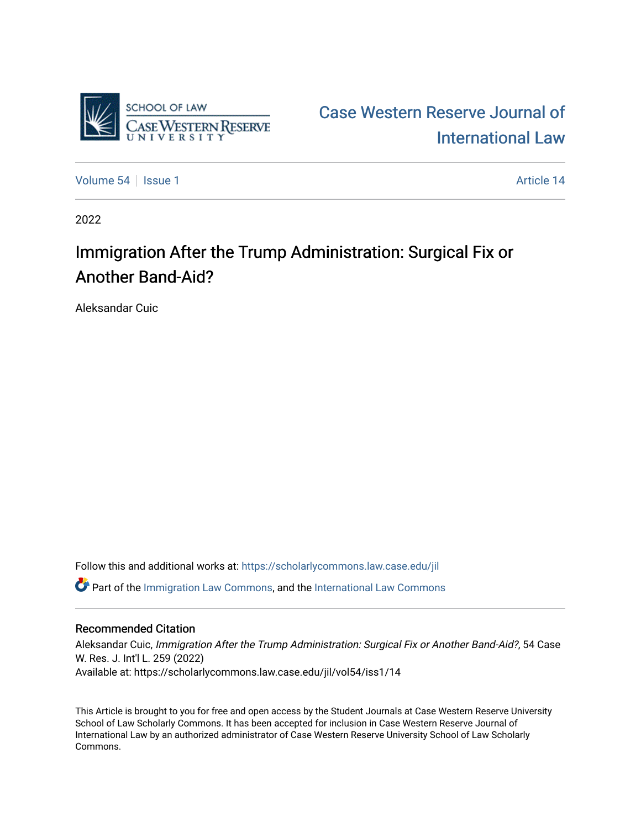

[Case Western Reserve Journal of](https://scholarlycommons.law.case.edu/jil)  [International Law](https://scholarlycommons.law.case.edu/jil) 

[Volume 54](https://scholarlycommons.law.case.edu/jil/vol54) | [Issue 1](https://scholarlycommons.law.case.edu/jil/vol54/iss1) Article 14

2022

## Immigration After the Trump Administration: Surgical Fix or Another Band-Aid?

Aleksandar Cuic

Follow this and additional works at: [https://scholarlycommons.law.case.edu/jil](https://scholarlycommons.law.case.edu/jil?utm_source=scholarlycommons.law.case.edu%2Fjil%2Fvol54%2Fiss1%2F14&utm_medium=PDF&utm_campaign=PDFCoverPages) 

Part of the [Immigration Law Commons](https://network.bepress.com/hgg/discipline/604?utm_source=scholarlycommons.law.case.edu%2Fjil%2Fvol54%2Fiss1%2F14&utm_medium=PDF&utm_campaign=PDFCoverPages), and the [International Law Commons](https://network.bepress.com/hgg/discipline/609?utm_source=scholarlycommons.law.case.edu%2Fjil%2Fvol54%2Fiss1%2F14&utm_medium=PDF&utm_campaign=PDFCoverPages) 

#### Recommended Citation

Aleksandar Cuic, Immigration After the Trump Administration: Surgical Fix or Another Band-Aid?, 54 Case W. Res. J. Int'l L. 259 (2022) Available at: https://scholarlycommons.law.case.edu/jil/vol54/iss1/14

This Article is brought to you for free and open access by the Student Journals at Case Western Reserve University School of Law Scholarly Commons. It has been accepted for inclusion in Case Western Reserve Journal of International Law by an authorized administrator of Case Western Reserve University School of Law Scholarly Commons.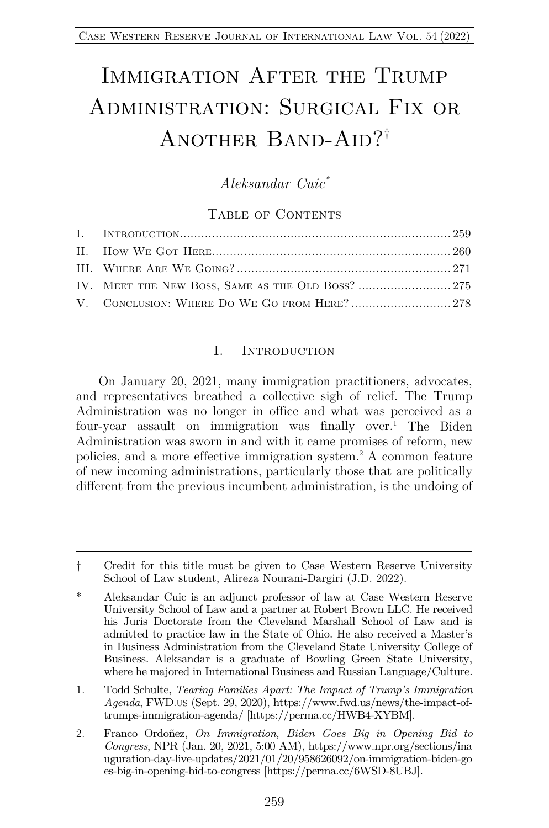# IMMIGRATION AFTER THE TRUMP Administration: Surgical Fix or ANOTHER BAND-AID?<sup>†</sup>

### *Aleksandar Cuic\**

#### TABLE OF CONTENTS

#### I. Introduction

On January 20, 2021, many immigration practitioners, advocates, and representatives breathed a collective sigh of relief. The Trump Administration was no longer in office and what was perceived as a four-year assault on immigration was finally over.1 The Biden Administration was sworn in and with it came promises of reform, new policies, and a more effective immigration system.2 A common feature of new incoming administrations, particularly those that are politically different from the previous incumbent administration, is the undoing of

<sup>†</sup> Credit for this title must be given to Case Western Reserve University School of Law student, Alireza Nourani-Dargiri (J.D. 2022).

<sup>\*</sup> Aleksandar Cuic is an adjunct professor of law at Case Western Reserve University School of Law and a partner at Robert Brown LLC. He received his Juris Doctorate from the Cleveland Marshall School of Law and is admitted to practice law in the State of Ohio. He also received a Master's in Business Administration from the Cleveland State University College of Business. Aleksandar is a graduate of Bowling Green State University, where he majored in International Business and Russian Language/Culture.

<sup>1.</sup> Todd Schulte, *Tearing Families Apart: The Impact of Trump's Immigration Agenda*, FWD.US (Sept. 29, 2020), https://www.fwd.us/news/the-impact-oftrumps-immigration-agenda/ [https://perma.cc/HWB4-XYBM].

<sup>2.</sup> Franco Ordoñez, *On Immigration, Biden Goes Big in Opening Bid to Congress*, NPR (Jan. 20, 2021, 5:00 AM), https://www.npr.org/sections/ina uguration-day-live-updates/2021/01/20/958626092/on-immigration-biden-go es-big-in-opening-bid-to-congress [https://perma.cc/6WSD-8UBJ].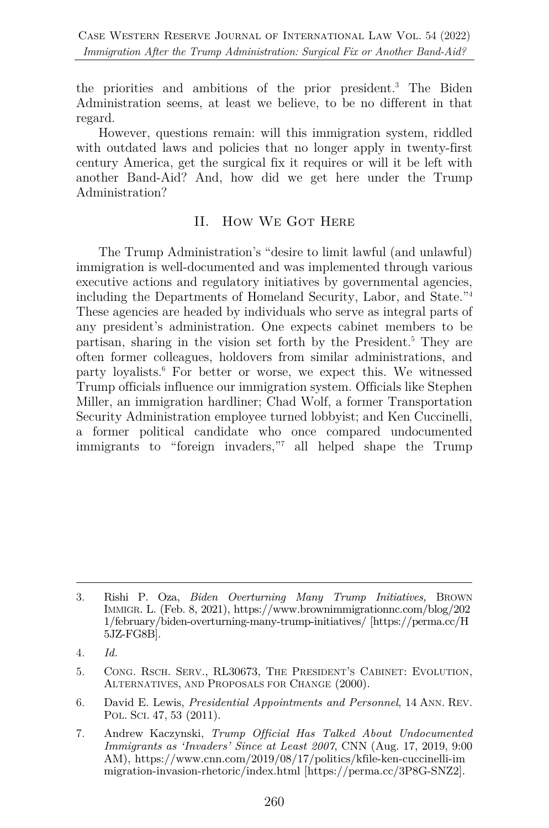the priorities and ambitions of the prior president.3 The Biden Administration seems, at least we believe, to be no different in that regard.

However, questions remain: will this immigration system, riddled with outdated laws and policies that no longer apply in twenty-first century America, get the surgical fix it requires or will it be left with another Band-Aid? And, how did we get here under the Trump Administration?

#### II. How We Got Here

The Trump Administration's "desire to limit lawful (and unlawful) immigration is well-documented and was implemented through various executive actions and regulatory initiatives by governmental agencies, including the Departments of Homeland Security, Labor, and State."4 These agencies are headed by individuals who serve as integral parts of any president's administration. One expects cabinet members to be partisan, sharing in the vision set forth by the President.5 They are often former colleagues, holdovers from similar administrations, and party loyalists. <sup>6</sup> For better or worse, we expect this. We witnessed Trump officials influence our immigration system. Officials like Stephen Miller, an immigration hardliner; Chad Wolf, a former Transportation Security Administration employee turned lobbyist; and Ken Cuccinelli, a former political candidate who once compared undocumented immigrants to "foreign invaders,"7 all helped shape the Trump

6. David E. Lewis, *Presidential Appointments and Personnel*, 14 ANN. REV. POL. SCI. 47, 53 (2011).

<sup>3.</sup> Rishi P. Oza, *Biden Overturning Many Trump Initiatives,* BROWN IMMIGR. L. (Feb. 8, 2021), https://www.brownimmigrationnc.com/blog/202 1/february/biden-overturning-many-trump-initiatives/ [https://perma.cc/H 5JZ-FG8B].

<sup>4.</sup> *Id.*

<sup>5.</sup> CONG. RSCH. SERV., RL30673, THE PRESIDENT'S CABINET: EVOLUTION, ALTERNATIVES, AND PROPOSALS FOR CHANGE (2000).

<sup>7.</sup> Andrew Kaczynski, *Trump Official Has Talked About Undocumented Immigrants as 'Invaders' Since at Least 2007*, CNN (Aug. 17, 2019, 9:00 AM), https://www.cnn.com/2019/08/17/politics/kfile-ken-cuccinelli-im migration-invasion-rhetoric/index.html [https://perma.cc/3P8G-SNZ2].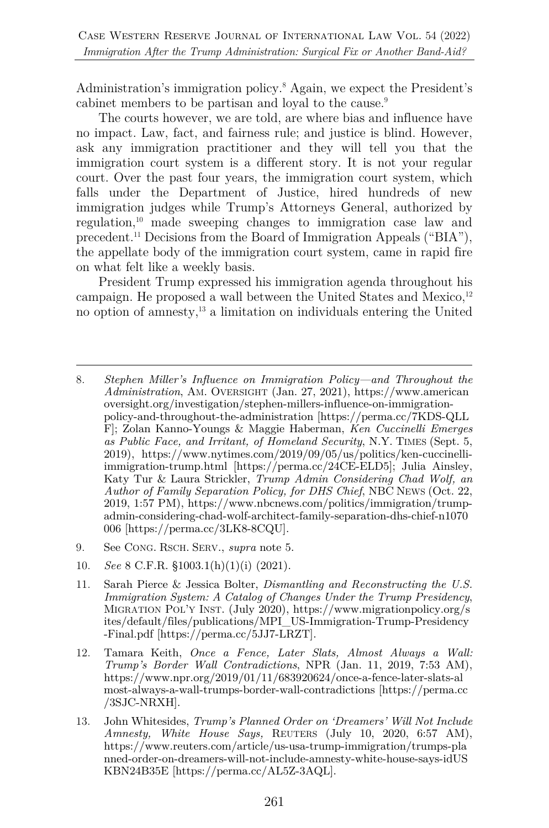Administration's immigration policy.8 Again, we expect the President's cabinet members to be partisan and loyal to the cause.<sup>9</sup>

The courts however, we are told, are where bias and influence have no impact. Law, fact, and fairness rule; and justice is blind. However, ask any immigration practitioner and they will tell you that the immigration court system is a different story. It is not your regular court. Over the past four years, the immigration court system, which falls under the Department of Justice, hired hundreds of new immigration judges while Trump's Attorneys General, authorized by regulation,10 made sweeping changes to immigration case law and precedent.11 Decisions from the Board of Immigration Appeals ("BIA"), the appellate body of the immigration court system, came in rapid fire on what felt like a weekly basis.

President Trump expressed his immigration agenda throughout his campaign. He proposed a wall between the United States and Mexico, $12$ no option of amnesty,13 a limitation on individuals entering the United

- 9. See CONG. RSCH. SERV., *supra* note 5.
- 10. *See* 8 C.F.R. §1003.1(h)(1)(i) (2021).
- 11. Sarah Pierce & Jessica Bolter, *Dismantling and Reconstructing the U.S. Immigration System: A Catalog of Changes Under the Trump Presidency*, MIGRATION POL'Y INST. (July 2020), https://www.migrationpolicy.org/s ites/default/files/publications/MPI\_US-Immigration-Trump-Presidency -Final.pdf [https://perma.cc/5JJ7-LRZT].
- 12. Tamara Keith, *Once a Fence, Later Slats, Almost Always a Wall: Trump's Border Wall Contradictions*, NPR (Jan. 11, 2019, 7:53 AM), https://www.npr.org/2019/01/11/683920624/once-a-fence-later-slats-al most-always-a-wall-trumps-border-wall-contradictions [https://perma.cc /3SJC-NRXH].
- 13. John Whitesides, *Trump's Planned Order on 'Dreamers' Will Not Include Amnesty, White House Says,* REUTERS (July 10, 2020, 6:57 AM), https://www.reuters.com/article/us-usa-trump-immigration/trumps-pla nned-order-on-dreamers-will-not-include-amnesty-white-house-says-idUS KBN24B35E [https://perma.cc/AL5Z-3AQL].

<sup>8.</sup> *Stephen Miller's Influence on Immigration Policy—and Throughout the Administration*, AM. OVERSIGHT (Jan. 27, 2021), https://www.american oversight.org/investigation/stephen-millers-influence-on-immigrationpolicy-and-throughout-the-administration [https://perma.cc/7KDS-QLL F]; Zolan Kanno-Youngs & Maggie Haberman, *Ken Cuccinelli Emerges as Public Face, and Irritant, of Homeland Security*, N.Y. TIMES (Sept. 5, 2019), https://www.nytimes.com/2019/09/05/us/politics/ken-cuccinelliimmigration-trump.html [https://perma.cc/24CE-ELD5]; Julia Ainsley, Katy Tur & Laura Strickler, *Trump Admin Considering Chad Wolf, an Author of Family Separation Policy, for DHS Chief*, NBC NEWS (Oct. 22, 2019, 1:57 PM), https://www.nbcnews.com/politics/immigration/trumpadmin-considering-chad-wolf-architect-family-separation-dhs-chief-n1070 006 [https://perma.cc/3LK8-8CQU].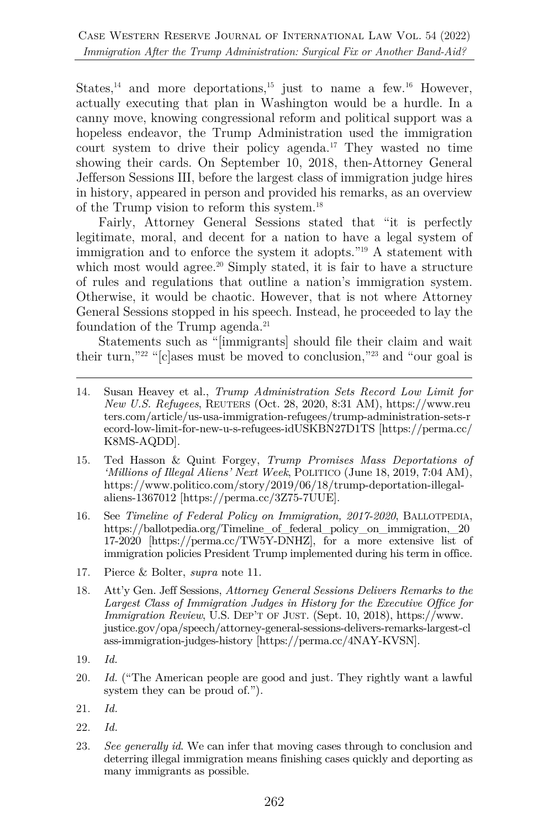States,<sup>14</sup> and more deportations,<sup>15</sup> just to name a few.<sup>16</sup> However, actually executing that plan in Washington would be a hurdle. In a canny move, knowing congressional reform and political support was a hopeless endeavor, the Trump Administration used the immigration court system to drive their policy agenda.<sup>17</sup> They wasted no time showing their cards. On September 10, 2018, then-Attorney General Jefferson Sessions III, before the largest class of immigration judge hires in history, appeared in person and provided his remarks, as an overview of the Trump vision to reform this system. 18

Fairly, Attorney General Sessions stated that "it is perfectly legitimate, moral, and decent for a nation to have a legal system of immigration and to enforce the system it adopts."19 A statement with which most would agree.<sup>20</sup> Simply stated, it is fair to have a structure of rules and regulations that outline a nation's immigration system. Otherwise, it would be chaotic. However, that is not where Attorney General Sessions stopped in his speech. Instead, he proceeded to lay the foundation of the Trump agenda.<sup>21</sup>

Statements such as "[immigrants] should file their claim and wait their turn,"<sup>22</sup> " $[c]$ ases must be moved to conclusion,"<sup>23</sup> and "our goal is

- 14. Susan Heavey et al., *Trump Administration Sets Record Low Limit for New U.S. Refugees*, REUTERS (Oct. 28, 2020, 8:31 AM), https://www.reu ters.com/article/us-usa-immigration-refugees/trump-administration-sets-r ecord-low-limit-for-new-u-s-refugees-idUSKBN27D1TS [https://perma.cc/ K8MS-AQDD].
- 15. Ted Hasson & Quint Forgey, *Trump Promises Mass Deportations of 'Millions of Illegal Aliens' Next Week*, POLITICO (June 18, 2019, 7:04 AM), https://www.politico.com/story/2019/06/18/trump-deportation-illegalaliens-1367012 [https://perma.cc/3Z75-7UUE].
- 16. See *Timeline of Federal Policy on Immigration, 2017-2020*, BALLOTPEDIA, https://ballotpedia.org/Timeline of federal policy on immigration, 20 17-2020 [https://perma.cc/TW5Y-DNHZ], for a more extensive list of immigration policies President Trump implemented during his term in office.
- 17. Pierce & Bolter, *supra* note 11.
- 18. Att'y Gen. Jeff Sessions, *Attorney General Sessions Delivers Remarks to the Largest Class of Immigration Judges in History for the Executive Office for Immigration Review*, U.S. DEP'T OF JUST. (Sept. 10, 2018), https://www. justice.gov/opa/speech/attorney-general-sessions-delivers-remarks-largest-cl ass-immigration-judges-history [https://perma.cc/4NAY-KVSN].
- 19. *Id.*
- 20. *Id.* ("The American people are good and just. They rightly want a lawful system they can be proud of.").
- 21. *Id.*
- 22. *Id.*
- 23. *See generally id*. We can infer that moving cases through to conclusion and deterring illegal immigration means finishing cases quickly and deporting as many immigrants as possible.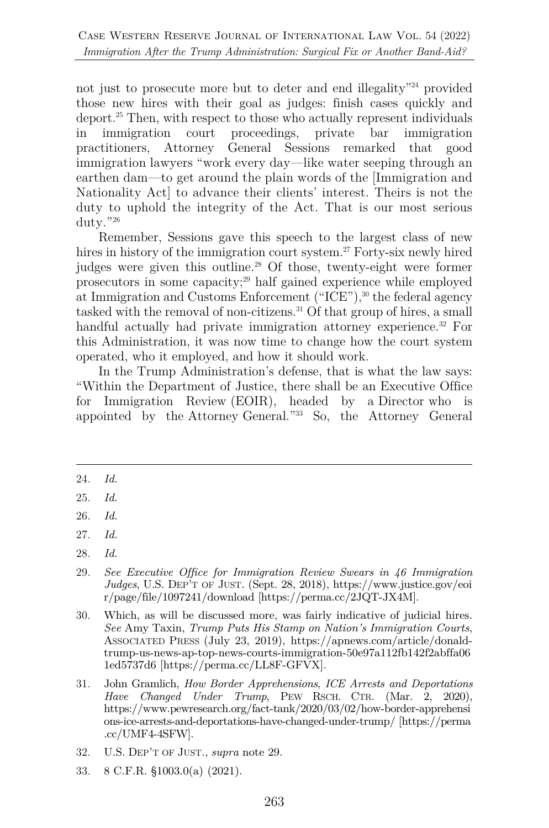not just to prosecute more but to deter and end illegality<sup>"24</sup> provided those new hires with their goal as judges: finish cases quickly and deport.25 Then, with respect to those who actually represent individuals in immigration court proceedings, private bar immigration practitioners, Attorney General Sessions remarked that good immigration lawyers "work every day—like water seeping through an earthen dam—to get around the plain words of the [Immigration and Nationality Act] to advance their clients' interest. Theirs is not the duty to uphold the integrity of the Act. That is our most serious duty."26

Remember, Sessions gave this speech to the largest class of new hires in history of the immigration court system.<sup>27</sup> Forty-six newly hired judges were given this outline.28 Of those, twenty-eight were former prosecutors in some capacity;29 half gained experience while employed at Immigration and Customs Enforcement ("ICE"), <sup>30</sup> the federal agency tasked with the removal of non-citizens.<sup>31</sup> Of that group of hires, a small handful actually had private immigration attorney experience.<sup>32</sup> For this Administration, it was now time to change how the court system operated, who it employed, and how it should work.

In the Trump Administration's defense, that is what the law says: "Within the Department of Justice, there shall be an Executive Office for Immigration Review (EOIR), headed by a Director who is appointed by the Attorney General."33 So, the Attorney General

28. *Id.*

<sup>24.</sup> *Id.*

<sup>25.</sup> *Id.*

<sup>26.</sup> *Id.*

<sup>27.</sup> *Id.*

<sup>29.</sup> *See Executive Office for Immigration Review Swears in 46 Immigration Judges*, U.S. DEP'T OF JUST. (Sept. 28, 2018), https://www.justice.gov/eoi r/page/file/1097241/download [https://perma.cc/2JQT-JX4M].

<sup>30.</sup> Which, as will be discussed more, was fairly indicative of judicial hires. *See* Amy Taxin, *Trump Puts His Stamp on Nation's Immigration Courts*, ASSOCIATED PRESS (July 23, 2019), https://apnews.com/article/donaldtrump-us-news-ap-top-news-courts-immigration-50e97a112fb142f2abffa06 1ed5737d6 [https://perma.cc/LL8F-GFVX].

<sup>31.</sup> John Gramlich, *How Border Apprehensions*, *ICE Arrests and Deportations Have Changed Under Trump*, PEW RSCH. CTR. (Mar. 2, 2020), https://www.pewresearch.org/fact-tank/2020/03/02/how-border-apprehensi ons-ice-arrests-and-deportations-have-changed-under-trump/ [https://perma .cc/UMF4-4SFW].

<sup>32.</sup> U.S. DEP'T OF JUST., *supra* note 29.

<sup>33.</sup> 8 C.F.R. §1003.0(a) (2021).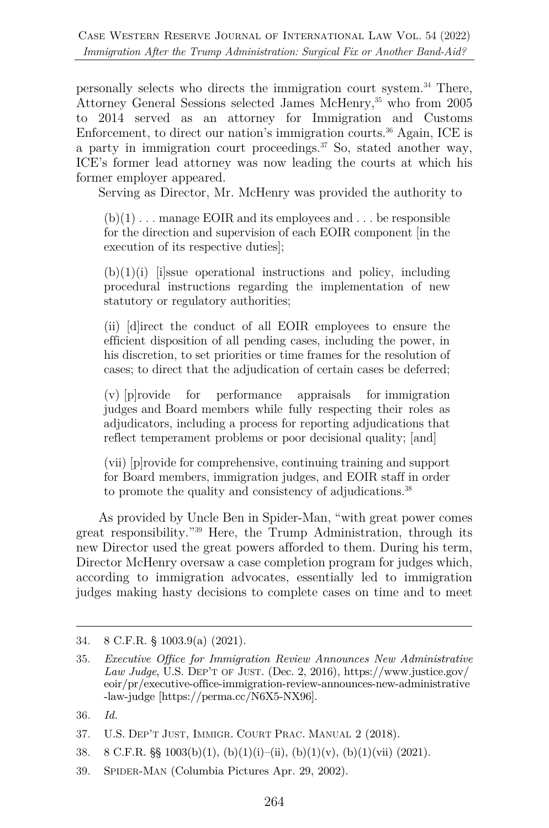personally selects who directs the immigration court system.34 There, Attorney General Sessions selected James McHenry,<sup>35</sup> who from 2005 to 2014 served as an attorney for Immigration and Customs Enforcement, to direct our nation's immigration courts.<sup>36</sup> Again, ICE is a party in immigration court proceedings. $37$  So, stated another way, ICE's former lead attorney was now leading the courts at which his former employer appeared.

Serving as Director, Mr. McHenry was provided the authority to

 $(b)(1)$ ... manage EOIR and its employees and ... be responsible for the direction and supervision of each EOIR component [in the execution of its respective duties];

 $(b)(1)(i)$  [i]ssue operational instructions and policy, including procedural instructions regarding the implementation of new statutory or regulatory authorities;

(ii) [d]irect the conduct of all EOIR employees to ensure the efficient disposition of all pending cases, including the power, in his discretion, to set priorities or time frames for the resolution of cases; to direct that the adjudication of certain cases be deferred;

(v) [p]rovide for performance appraisals for immigration judges and Board members while fully respecting their roles as adjudicators, including a process for reporting adjudications that reflect temperament problems or poor decisional quality; [and]

(vii) [p]rovide for comprehensive, continuing training and support for Board members, immigration judges, and EOIR staff in order to promote the quality and consistency of adjudications.<sup>38</sup>

As provided by Uncle Ben in Spider-Man, "with great power comes great responsibility."39 Here, the Trump Administration, through its new Director used the great powers afforded to them. During his term, Director McHenry oversaw a case completion program for judges which, according to immigration advocates, essentially led to immigration judges making hasty decisions to complete cases on time and to meet

<sup>34.</sup> 8 C.F.R. § 1003.9(a) (2021).

<sup>35.</sup> *Executive Office for Immigration Review Announces New Administrative Law Judge*, U.S. DEP'T OF JUST. (Dec. 2, 2016), https://www.justice.gov/ eoir/pr/executive-office-immigration-review-announces-new-administrative -law-judge [https://perma.cc/N6X5-NX96].

<sup>36.</sup> *Id.*

<sup>37.</sup> U.S. DEP'T JUST, IMMIGR. COURT PRAC. MANUAL 2 (2018).

<sup>38. 8</sup> C.F.R.  $\S$  1003(b)(1), (b)(1)(i)–(ii), (b)(1)(v), (b)(1)(vii) (2021).

<sup>39.</sup> SPIDER-MAN (Columbia Pictures Apr. 29, 2002).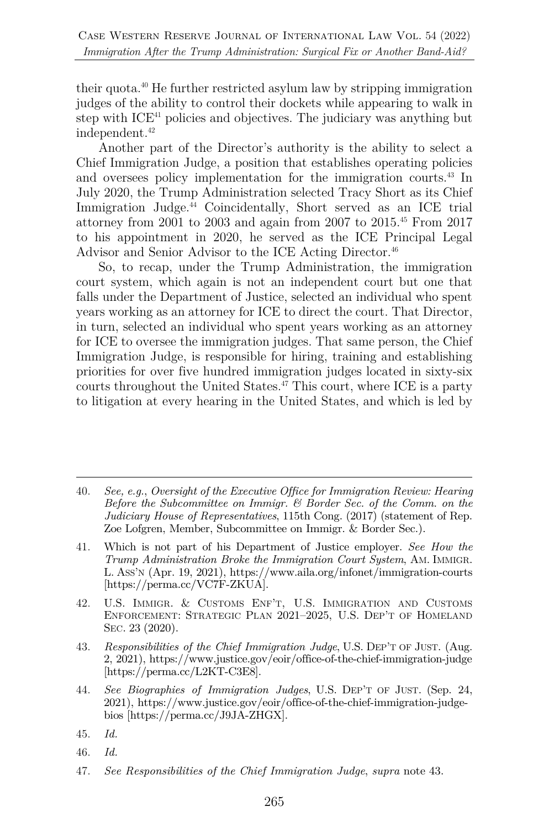their quota.40 He further restricted asylum law by stripping immigration judges of the ability to control their dockets while appearing to walk in step with ICE41 policies and objectives. The judiciary was anything but independent. 42

Another part of the Director's authority is the ability to select a Chief Immigration Judge, a position that establishes operating policies and oversees policy implementation for the immigration courts.43 In July 2020, the Trump Administration selected Tracy Short as its Chief Immigration Judge.<sup>44</sup> Coincidentally, Short served as an ICE trial attorney from 2001 to 2003 and again from 2007 to 2015.45 From 2017 to his appointment in 2020, he served as the ICE Principal Legal Advisor and Senior Advisor to the ICE Acting Director.<sup>46</sup>

So, to recap, under the Trump Administration, the immigration court system, which again is not an independent court but one that falls under the Department of Justice, selected an individual who spent years working as an attorney for ICE to direct the court. That Director, in turn, selected an individual who spent years working as an attorney for ICE to oversee the immigration judges. That same person, the Chief Immigration Judge, is responsible for hiring, training and establishing priorities for over five hundred immigration judges located in sixty-six courts throughout the United States.<sup>47</sup> This court, where ICE is a party to litigation at every hearing in the United States, and which is led by

- 42. U.S. IMMIGR. & CUSTOMS ENF'T, U.S. IMMIGRATION AND CUSTOMS ENFORCEMENT: STRATEGIC PLAN 2021–2025, U.S. DEP'T OF HOMELAND SEC. 23 (2020).
- 43. *Responsibilities of the Chief Immigration Judge*, U.S. DEP'T OF JUST. (Aug. 2, 2021), https://www.justice.gov/eoir/office-of-the-chief-immigration-judge [https://perma.cc/L2KT-C3E8].
- 44. *See Biographies of Immigration Judges*, U.S. DEP'T OF JUST. (Sep. 24, 2021), https://www.justice.gov/eoir/office-of-the-chief-immigration-judgebios [https://perma.cc/J9JA-ZHGX].
- 45. *Id.*
- 46. *Id.*
- 47. *See Responsibilities of the Chief Immigration Judge*, *supra* note 43.

<sup>40.</sup> *See, e.g.*, *Oversight of the Executive Office for Immigration Review: Hearing Before the Subcommittee on Immigr. & Border Sec. of the Comm. on the Judiciary House of Representatives*, 115th Cong. (2017) (statement of Rep. Zoe Lofgren, Member, Subcommittee on Immigr. & Border Sec.).

<sup>41.</sup> Which is not part of his Department of Justice employer. *See How the Trump Administration Broke the Immigration Court System*, AM. IMMIGR. L. ASS'N (Apr. 19, 2021), https://www.aila.org/infonet/immigration-courts [https://perma.cc/VC7F-ZKUA].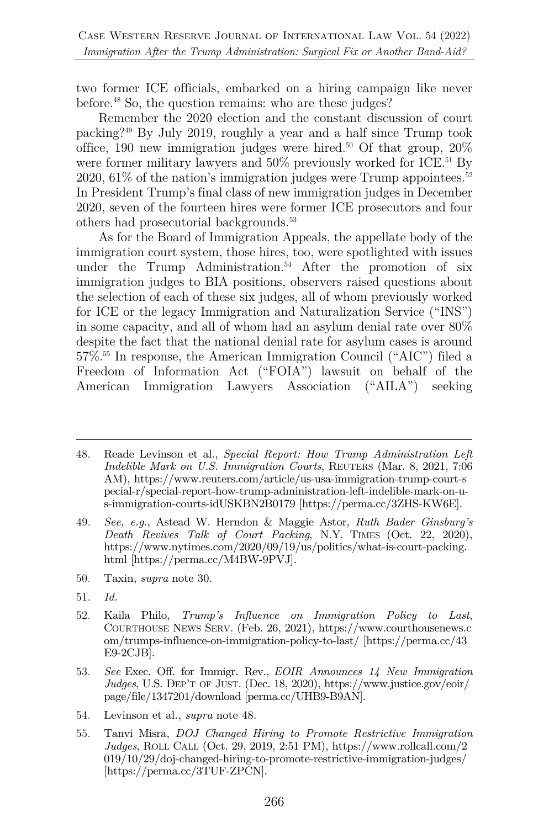two former ICE officials, embarked on a hiring campaign like never before.48 So, the question remains: who are these judges?

Remember the 2020 election and the constant discussion of court packing?49 By July 2019, roughly a year and a half since Trump took office, 190 new immigration judges were hired.<sup>50</sup> Of that group,  $20\%$ were former military lawyers and  $50\%$  previously worked for ICE.<sup>51</sup> By 2020,  $61\%$  of the nation's immigration judges were Trump appointees.<sup>52</sup> In President Trump's final class of new immigration judges in December 2020, seven of the fourteen hires were former ICE prosecutors and four others had prosecutorial backgrounds.53

As for the Board of Immigration Appeals, the appellate body of the immigration court system, those hires, too, were spotlighted with issues under the Trump Administration.<sup>54</sup> After the promotion of six immigration judges to BIA positions, observers raised questions about the selection of each of these six judges, all of whom previously worked for ICE or the legacy Immigration and Naturalization Service ("INS") in some capacity, and all of whom had an asylum denial rate over 80% despite the fact that the national denial rate for asylum cases is around 57%. <sup>55</sup> In response, the American Immigration Council ("AIC") filed a Freedom of Information Act ("FOIA") lawsuit on behalf of the American Immigration Lawyers Association ("AILA") seeking

49. *See, e.g.*, Astead W. Herndon & Maggie Astor, *Ruth Bader Ginsburg's Death Revives Talk of Court Packing*, N.Y. TIMES (Oct. 22, 2020), https://www.nytimes.com/2020/09/19/us/politics/what-is-court-packing. html [https://perma.cc/M4BW-9PVJ].

- 50. Taxin, *supra* note 30.
- 51. *Id.*
- 52. Kaila Philo, *Trump's Influence on Immigration Policy to Last*, COURTHOUSE NEWS SERV. (Feb. 26, 2021), https://www.courthousenews.c om/trumps-influence-on-immigration-policy-to-last/ [https://perma.cc/43 E9-2CJB].
- 53. *See* Exec. Off. for Immigr. Rev., *EOIR Announces 14 New Immigration Judges*, U.S. DEP'T OF JUST. (Dec. 18, 2020), https://www.justice.gov/eoir/ page/file/1347201/download [perma.cc/UHB9-B9AN].
- 54. Levinson et al., *supra* note 48.
- 55. Tanvi Misra, *DOJ Changed Hiring to Promote Restrictive Immigration Judges*, ROLL CALL (Oct. 29, 2019, 2:51 PM), https://www.rollcall.com/2 019/10/29/doj-changed-hiring-to-promote-restrictive-immigration-judges/ [https://perma.cc/3TUF-ZPCN].

<sup>48.</sup> Reade Levinson et al., *Special Report: How Trump Administration Left Indelible Mark on U.S. Immigration Courts*, REUTERS (Mar. 8, 2021, 7:06 AM), https://www.reuters.com/article/us-usa-immigration-trump-court-s pecial-r/special-report-how-trump-administration-left-indelible-mark-on-us-immigration-courts-idUSKBN2B0179 [https://perma.cc/3ZHS-KW6E].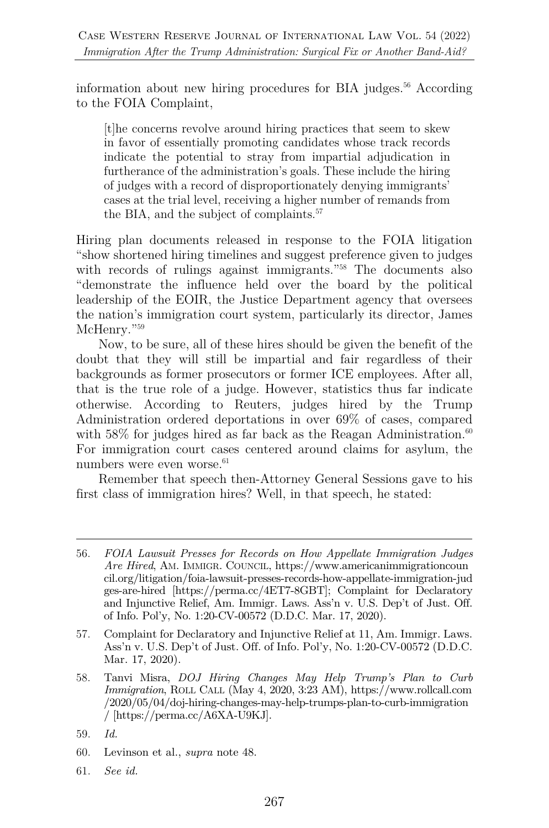information about new hiring procedures for BIA judges.<sup>56</sup> According to the FOIA Complaint,

[t]he concerns revolve around hiring practices that seem to skew in favor of essentially promoting candidates whose track records indicate the potential to stray from impartial adjudication in furtherance of the administration's goals. These include the hiring of judges with a record of disproportionately denying immigrants' cases at the trial level, receiving a higher number of remands from the BIA, and the subject of complaints.<sup>57</sup>

Hiring plan documents released in response to the FOIA litigation "show shortened hiring timelines and suggest preference given to judges with records of rulings against immigrants."<sup>58</sup> The documents also "demonstrate the influence held over the board by the political leadership of the EOIR, the Justice Department agency that oversees the nation's immigration court system, particularly its director, James McHenry."<sup>59</sup>

Now, to be sure, all of these hires should be given the benefit of the doubt that they will still be impartial and fair regardless of their backgrounds as former prosecutors or former ICE employees. After all, that is the true role of a judge. However, statistics thus far indicate otherwise. According to Reuters, judges hired by the Trump Administration ordered deportations in over 69% of cases, compared with 58% for judges hired as far back as the Reagan Administration.<sup>60</sup> For immigration court cases centered around claims for asylum, the numbers were even worse.<sup>61</sup>

Remember that speech then-Attorney General Sessions gave to his first class of immigration hires? Well, in that speech, he stated:

- 60. Levinson et al., *supra* note 48.
- 61. *See id.*

<sup>56.</sup> *FOIA Lawsuit Presses for Records on How Appellate Immigration Judges Are Hired*, AM. IMMIGR. COUNCIL, https://www.americanimmigrationcoun cil.org/litigation/foia-lawsuit-presses-records-how-appellate-immigration-jud ges-are-hired [https://perma.cc/4ET7-8GBT]; Complaint for Declaratory and Injunctive Relief, Am. Immigr. Laws. Ass'n v. U.S. Dep't of Just. Off. of Info. Pol'y, No. 1:20-CV-00572 (D.D.C. Mar. 17, 2020).

<sup>57.</sup> Complaint for Declaratory and Injunctive Relief at 11, Am. Immigr. Laws. Ass'n v. U.S. Dep't of Just. Off. of Info. Pol'y, No. 1:20-CV-00572 (D.D.C. Mar. 17, 2020).

<sup>58.</sup> Tanvi Misra, *DOJ Hiring Changes May Help Trump's Plan to Curb Immigration*, ROLL CALL (May 4, 2020, 3:23 AM), https://www.rollcall.com /2020/05/04/doj-hiring-changes-may-help-trumps-plan-to-curb-immigration / [https://perma.cc/A6XA-U9KJ].

<sup>59.</sup> *Id.*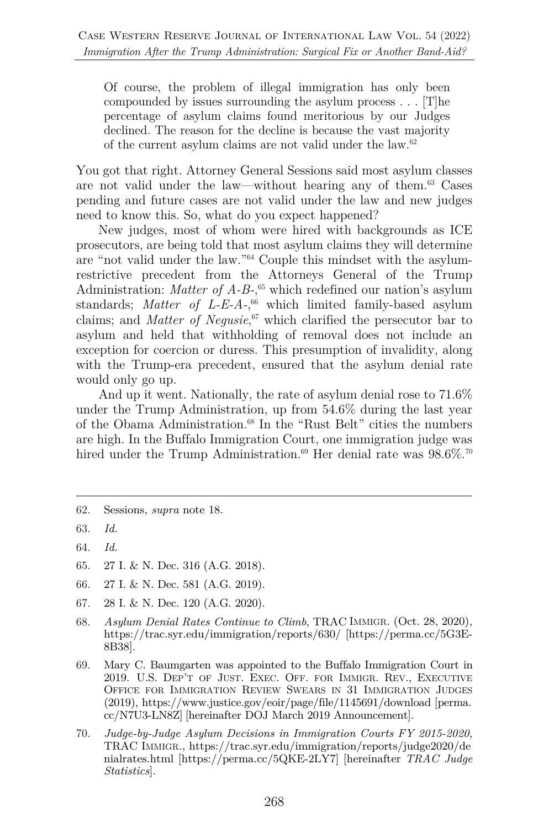Of course, the problem of illegal immigration has only been compounded by issues surrounding the asylum process . . . [T]he percentage of asylum claims found meritorious by our Judges declined. The reason for the decline is because the vast majority of the current asylum claims are not valid under the law.62

You got that right. Attorney General Sessions said most asylum classes are not valid under the law—without hearing any of them.63 Cases pending and future cases are not valid under the law and new judges need to know this. So, what do you expect happened?

New judges, most of whom were hired with backgrounds as ICE prosecutors, are being told that most asylum claims they will determine are "not valid under the law."64 Couple this mindset with the asylumrestrictive precedent from the Attorneys General of the Trump Administration: *Matter of A-B-*, <sup>65</sup> which redefined our nation's asylum standards; *Matter of L-E-A-*, <sup>66</sup> which limited family-based asylum claims; and *Matter of Negusie*, <sup>67</sup> which clarified the persecutor bar to asylum and held that withholding of removal does not include an exception for coercion or duress. This presumption of invalidity, along with the Trump-era precedent, ensured that the asylum denial rate would only go up.

And up it went. Nationally, the rate of asylum denial rose to 71.6% under the Trump Administration, up from 54.6% during the last year of the Obama Administration. <sup>68</sup> In the "Rust Belt" cities the numbers are high. In the Buffalo Immigration Court, one immigration judge was hired under the Trump Administration.<sup>69</sup> Her denial rate was  $98.6\%$ .<sup>70</sup>

- 65. 27 I. & N. Dec. 316 (A.G. 2018).
- 66. 27 I. & N. Dec. 581 (A.G. 2019).
- 67. 28 I. & N. Dec. 120 (A.G. 2020).
- 68. *Asylum Denial Rates Continue to Climb*, TRAC IMMIGR. (Oct. 28, 2020), https://trac.syr.edu/immigration/reports/630/ [https://perma.cc/5G3E-8B38].
- 69. Mary C. Baumgarten was appointed to the Buffalo Immigration Court in 2019. U.S. DEP'T OF JUST. EXEC. OFF. FOR IMMIGR. REV., EXECUTIVE OFFICE FOR IMMIGRATION REVIEW SWEARS IN 31 IMMIGRATION JUDGES (2019), https://www.justice.gov/eoir/page/file/1145691/download [perma. cc/N7U3-LN8Z] [hereinafter DOJ March 2019 Announcement].
- 70. *Judge-by-Judge Asylum Decisions in Immigration Courts FY 2015-2020*, TRAC IMMIGR., https://trac.syr.edu/immigration/reports/judge2020/de nialrates.html [https://perma.cc/5QKE-2LY7] [hereinafter *TRAC Judge Statistics*].

<sup>62.</sup> Sessions, *supra* note 18.

<sup>63.</sup> *Id.*

<sup>64.</sup> *Id.*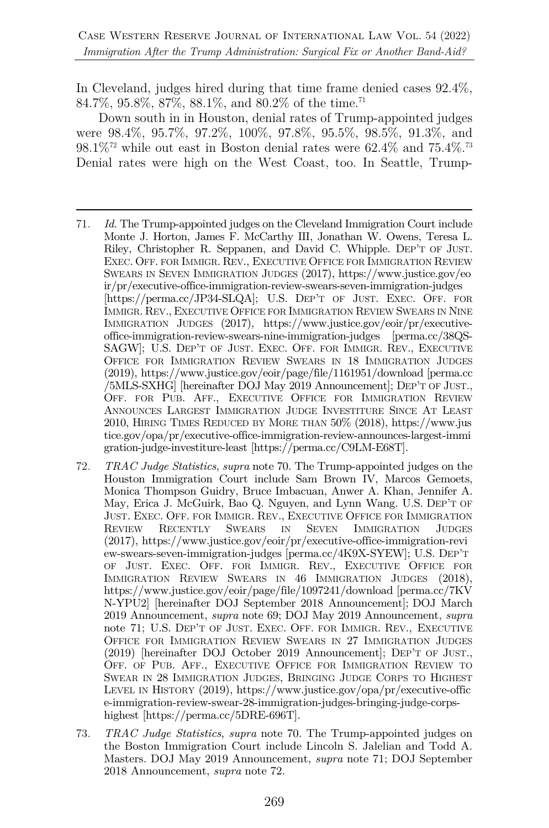In Cleveland, judges hired during that time frame denied cases 92.4%, 84.7%, 95.8%, 87%, 88.1%, and 80.2% of the time.<sup>71</sup>

Down south in in Houston, denial rates of Trump-appointed judges were 98.4%, 95.7%, 97.2%, 100%, 97.8%, 95.5%, 98.5%, 91.3%, and  $98.1\%$ <sup>72</sup> while out east in Boston denial rates were 62.4% and 75.4%.<sup>73</sup> Denial rates were high on the West Coast, too. In Seattle, Trump-

- 71. *Id.* The Trump-appointed judges on the Cleveland Immigration Court include Monte J. Horton, James F. McCarthy III, Jonathan W. Owens, Teresa L. Riley, Christopher R. Seppanen, and David C. Whipple. DEP'T OF JUST. EXEC. OFF. FOR IMMIGR. REV., EXECUTIVE OFFICE FOR IMMIGRATION REVIEW SWEARS IN SEVEN IMMIGRATION JUDGES (2017), https://www.justice.gov/eo ir/pr/executive-office-immigration-review-swears-seven-immigration-judges [https://perma.cc/JP34-SLQA]; U.S. DEP'T OF JUST. EXEC. OFF. FOR IMMIGR. REV., EXECUTIVE OFFICE FOR IMMIGRATION REVIEW SWEARS IN NINE IMMIGRATION JUDGES (2017), https://www.justice.gov/eoir/pr/executiveoffice-immigration-review-swears-nine-immigration-judges [perma.cc/38QS-SAGW]; U.S. DEP'T OF JUST. EXEC. OFF. FOR IMMIGR. REV., EXECUTIVE OFFICE FOR IMMIGRATION REVIEW SWEARS IN 18 IMMIGRATION JUDGES (2019), https://www.justice.gov/eoir/page/file/1161951/download [perma.cc /5MLS-SXHG] [hereinafter DOJ May 2019 Announcement]; DEP'T OF JUST., OFF. FOR PUB. AFF., EXECUTIVE OFFICE FOR IMMIGRATION REVIEW ANNOUNCES LARGEST IMMIGRATION JUDGE INVESTITURE SINCE AT LEAST 2010, HIRING TIMES REDUCED BY MORE THAN 50% (2018), https://www.jus tice.gov/opa/pr/executive-office-immigration-review-announces-largest-immi gration-judge-investiture-least [https://perma.cc/C9LM-E68T].
- 72. *TRAC Judge Statistics*, *supra* note 70. The Trump-appointed judges on the Houston Immigration Court include Sam Brown IV, Marcos Gemoets, Monica Thompson Guidry, Bruce Imbacuan, Anwer A. Khan, Jennifer A. May, Erica J. McGuirk, Bao Q. Nguyen, and Lynn Wang. U.S. DEP'T OF JUST. EXEC. OFF. FOR IMMIGR. REV., EXECUTIVE OFFICE FOR IMMIGRATION REVIEW RECENTLY SWEARS IN SEVEN IMMIGRATION JUDGES (2017), https://www.justice.gov/eoir/pr/executive-office-immigration-revi ew-swears-seven-immigration-judges [perma.cc/4K9X-SYEW]; U.S. DEP'T OF JUST. EXEC. OFF. FOR IMMIGR. REV., EXECUTIVE OFFICE FOR IMMIGRATION REVIEW SWEARS IN 46 IMMIGRATION JUDGES (2018), https://www.justice.gov/eoir/page/file/1097241/download [perma.cc/7KV N-YPU2] [hereinafter DOJ September 2018 Announcement]; DOJ March 2019 Announcement, *supra* note 69; DOJ May 2019 Announcement, *supra* note 71; U.S. DEP'T OF JUST. EXEC. OFF. FOR IMMIGR. REV., EXECUTIVE OFFICE FOR IMMIGRATION REVIEW SWEARS IN 27 IMMIGRATION JUDGES (2019) [hereinafter DOJ October 2019 Announcement]; DEP'T OF JUST., OFF. OF PUB. AFF., EXECUTIVE OFFICE FOR IMMIGRATION REVIEW TO SWEAR IN 28 IMMIGRATION JUDGES, BRINGING JUDGE CORPS TO HIGHEST LEVEL IN HISTORY (2019), https://www.justice.gov/opa/pr/executive-offic e-immigration-review-swear-28-immigration-judges-bringing-judge-corpshighest [https://perma.cc/5DRE-696T].
- 73. *TRAC Judge Statistics*, *supra* note 70. The Trump-appointed judges on the Boston Immigration Court include Lincoln S. Jalelian and Todd A. Masters. DOJ May 2019 Announcement, *supra* note 71; DOJ September 2018 Announcement, *supra* note 72.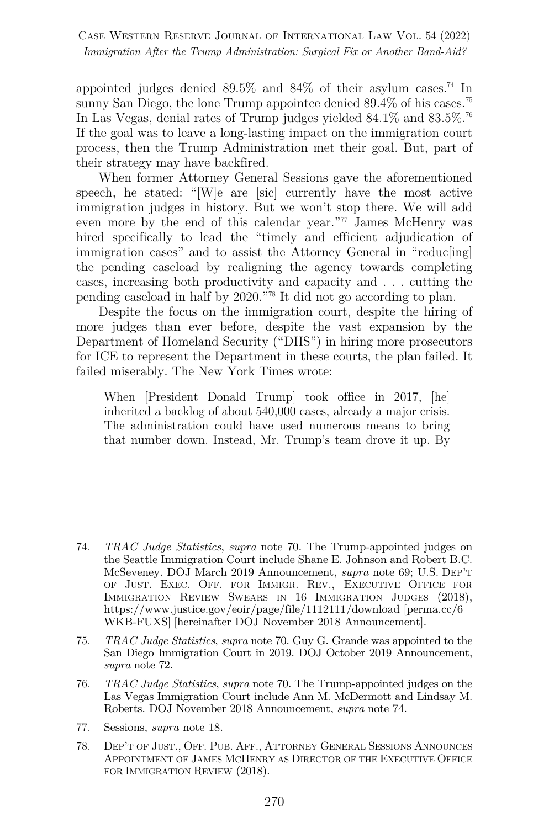appointed judges denied 89.5% and 84% of their asylum cases. <sup>74</sup> In sunny San Diego, the lone Trump appointee denied 89.4% of his cases.<sup>75</sup> In Las Vegas, denial rates of Trump judges yielded 84.1% and 83.5%.76 If the goal was to leave a long-lasting impact on the immigration court process, then the Trump Administration met their goal. But, part of their strategy may have backfired.

When former Attorney General Sessions gave the aforementioned speech, he stated: "[W]e are [sic] currently have the most active immigration judges in history. But we won't stop there. We will add even more by the end of this calendar year."77 James McHenry was hired specifically to lead the "timely and efficient adjudication of immigration cases" and to assist the Attorney General in "reduc[ing] the pending caseload by realigning the agency towards completing cases, increasing both productivity and capacity and . . . cutting the pending caseload in half by 2020."78 It did not go according to plan.

Despite the focus on the immigration court, despite the hiring of more judges than ever before, despite the vast expansion by the Department of Homeland Security ("DHS") in hiring more prosecutors for ICE to represent the Department in these courts, the plan failed. It failed miserably. The New York Times wrote:

When [President Donald Trump] took office in 2017, [he] inherited a backlog of about 540,000 cases, already a major crisis. The administration could have used numerous means to bring that number down. Instead, Mr. Trump's team drove it up. By

- 77. Sessions, *supra* note 18.
- 78. DEP'T OF JUST., OFF. PUB. AFF., ATTORNEY GENERAL SESSIONS ANNOUNCES APPOINTMENT OF JAMES MCHENRY AS DIRECTOR OF THE EXECUTIVE OFFICE FOR IMMIGRATION REVIEW (2018).

<sup>74.</sup> *TRAC Judge Statistics*, *supra* note 70. The Trump-appointed judges on the Seattle Immigration Court include Shane E. Johnson and Robert B.C. McSeveney. DOJ March 2019 Announcement, *supra* note 69; U.S. DEP'T OF JUST. EXEC. OFF. FOR IMMIGR. REV., EXECUTIVE OFFICE FOR IMMIGRATION REVIEW SWEARS IN 16 IMMIGRATION JUDGES (2018), https://www.justice.gov/eoir/page/file/1112111/download [perma.cc/6 WKB-FUXS] [hereinafter DOJ November 2018 Announcement].

<sup>75.</sup> *TRAC Judge Statistics*, *supra* note 70. Guy G. Grande was appointed to the San Diego Immigration Court in 2019. DOJ October 2019 Announcement, *supra* note 72.

<sup>76.</sup> *TRAC Judge Statistics*, *supra* note 70. The Trump-appointed judges on the Las Vegas Immigration Court include Ann M. McDermott and Lindsay M. Roberts. DOJ November 2018 Announcement, *supra* note 74.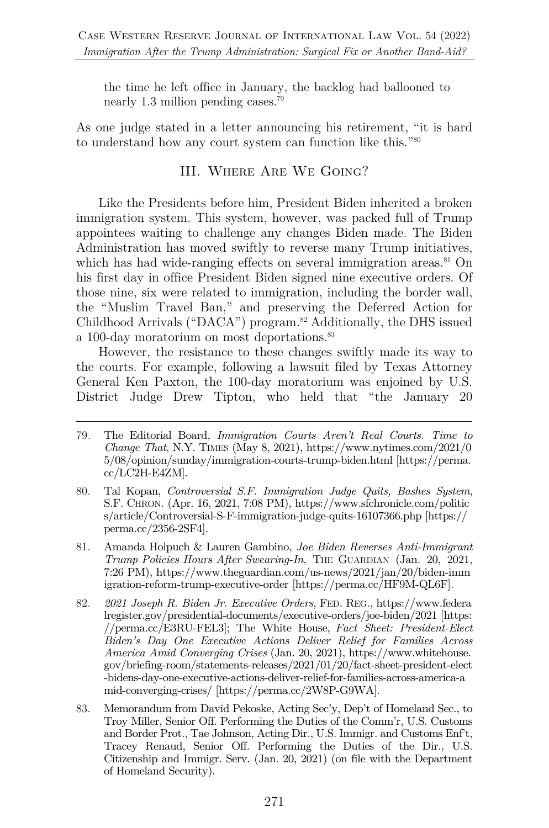the time he left office in January, the backlog had ballooned to nearly 1.3 million pending cases.79

As one judge stated in a letter announcing his retirement, "it is hard to understand how any court system can function like this."80

#### III. Where Are We Going?

Like the Presidents before him, President Biden inherited a broken immigration system. This system, however, was packed full of Trump appointees waiting to challenge any changes Biden made. The Biden Administration has moved swiftly to reverse many Trump initiatives, which has had wide-ranging effects on several immigration areas.<sup>81</sup> On his first day in office President Biden signed nine executive orders. Of those nine, six were related to immigration, including the border wall, the "Muslim Travel Ban," and preserving the Deferred Action for Childhood Arrivals ("DACA") program. <sup>82</sup> Additionally, the DHS issued a 100-day moratorium on most deportations.<sup>83</sup>

However, the resistance to these changes swiftly made its way to the courts. For example, following a lawsuit filed by Texas Attorney General Ken Paxton, the 100-day moratorium was enjoined by U.S. District Judge Drew Tipton, who held that "the January 20

- 82. *2021 Joseph R. Biden Jr. Executive Orders*, FED. REG., https://www.federa lregister.gov/presidential-documents/executive-orders/joe-biden/2021 [https: //perma.cc/E3RU-FEL3]; The White House, *Fact Sheet: President-Elect Biden's Day One Executive Actions Deliver Relief for Families Across America Amid Converging Crises* (Jan. 20, 2021), https://www.whitehouse. gov/briefing-room/statements-releases/2021/01/20/fact-sheet-president-elect -bidens-day-one-executive-actions-deliver-relief-for-families-across-america-a mid-converging-crises/ [https://perma.cc/2W8P-G9WA].
- 83. Memorandum from David Pekoske, Acting Sec'y, Dep't of Homeland Sec., to Troy Miller, Senior Off. Performing the Duties of the Comm'r, U.S. Customs and Border Prot., Tae Johnson, Acting Dir., U.S. Immigr. and Customs Enf't, Tracey Renaud, Senior Off. Performing the Duties of the Dir., U.S. Citizenship and Immigr. Serv. (Jan. 20, 2021) (on file with the Department of Homeland Security).

<sup>79</sup>*.* The Editorial Board, *Immigration Courts Aren't Real Courts. Time to Change That*, N.Y. TIMES (May 8, 2021), https://www.nytimes.com/2021/0 5/08/opinion/sunday/immigration-courts-trump-biden.html [https://perma. cc/LC2H-E4ZM].

<sup>80.</sup> Tal Kopan, *Controversial S.F. Immigration Judge Quits, Bashes System*, S.F. CHRON. (Apr. 16, 2021, 7:08 PM), https://www.sfchronicle.com/politic s/article/Controversial-S-F-immigration-judge-quits-16107366.php [https:// perma.cc/2356-2SF4].

<sup>81.</sup> Amanda Holpuch & Lauren Gambino, *Joe Biden Reverses Anti-Immigrant Trump Policies Hours After Swearing-In*, THE GUARDIAN (Jan. 20, 2021, 7:26 PM), https://www.theguardian.com/us-news/2021/jan/20/biden-imm igration-reform-trump-executive-order [https://perma.cc/HF9M-QL6F].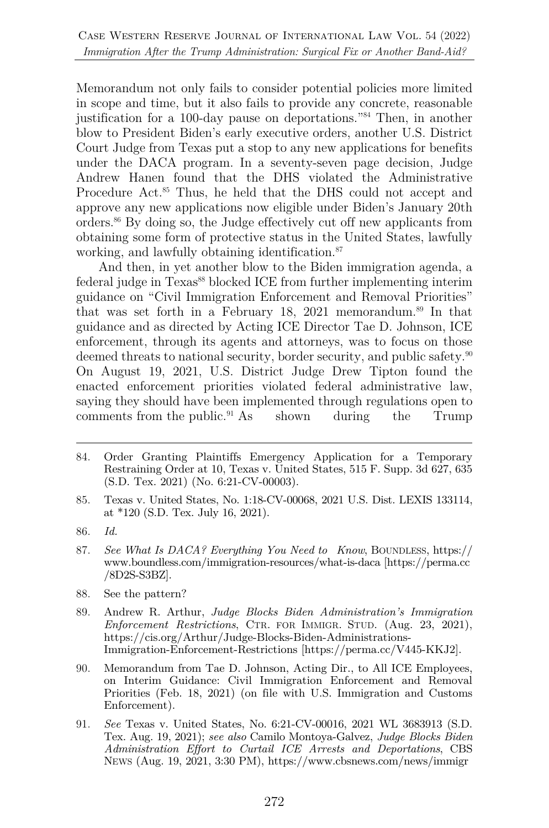Memorandum not only fails to consider potential policies more limited in scope and time, but it also fails to provide any concrete, reasonable justification for a 100-day pause on deportations."84 Then, in another blow to President Biden's early executive orders, another U.S. District Court Judge from Texas put a stop to any new applications for benefits under the DACA program. In a seventy-seven page decision, Judge Andrew Hanen found that the DHS violated the Administrative Procedure Act. <sup>85</sup> Thus, he held that the DHS could not accept and approve any new applications now eligible under Biden's January 20th orders.86 By doing so, the Judge effectively cut off new applicants from obtaining some form of protective status in the United States, lawfully working, and lawfully obtaining identification.<sup>87</sup>

And then, in yet another blow to the Biden immigration agenda, a federal judge in Texas<sup>88</sup> blocked ICE from further implementing interim guidance on "Civil Immigration Enforcement and Removal Priorities" that was set forth in a February 18, 2021 memorandum. <sup>89</sup> In that guidance and as directed by Acting ICE Director Tae D. Johnson, ICE enforcement, through its agents and attorneys, was to focus on those deemed threats to national security, border security, and public safety.<sup>90</sup> On August 19, 2021, U.S. District Judge Drew Tipton found the enacted enforcement priorities violated federal administrative law, saying they should have been implemented through regulations open to comments from the public.<sup>91</sup> As shown during the Trump

- 85. Texas v. United States, No. 1:18-CV-00068, 2021 U.S. Dist. LEXIS 133114, at \*120 (S.D. Tex. July 16, 2021).
- 86. *Id.*
- 87. *See What Is DACA? Everything You Need to Know*, BOUNDLESS, https:// www.boundless.com/immigration-resources/what-is-daca [https://perma.cc /8D2S-S3BZ].
- 88. See the pattern?
- 89. Andrew R. Arthur, *Judge Blocks Biden Administration's Immigration Enforcement Restrictions*, CTR. FOR IMMIGR. STUD. (Aug. 23, 2021), https://cis.org/Arthur/Judge-Blocks-Biden-Administrations-Immigration-Enforcement-Restrictions [https://perma.cc/V445-KKJ2].
- 90. Memorandum from Tae D. Johnson, Acting Dir., to All ICE Employees, on Interim Guidance: Civil Immigration Enforcement and Removal Priorities (Feb. 18, 2021) (on file with U.S. Immigration and Customs Enforcement).
- 91. *See* Texas v. United States, No. 6:21-CV-00016, 2021 WL 3683913 (S.D. Tex. Aug. 19, 2021); *see also* Camilo Montoya-Galvez, *Judge Blocks Biden Administration Effort to Curtail ICE Arrests and Deportations*, CBS NEWS (Aug. 19, 2021, 3:30 PM), https://www.cbsnews.com/news/immigr

<sup>84.</sup> Order Granting Plaintiffs Emergency Application for a Temporary Restraining Order at 10, Texas v. United States, 515 F. Supp. 3d 627, 635 (S.D. Tex. 2021) (No. 6:21-CV-00003).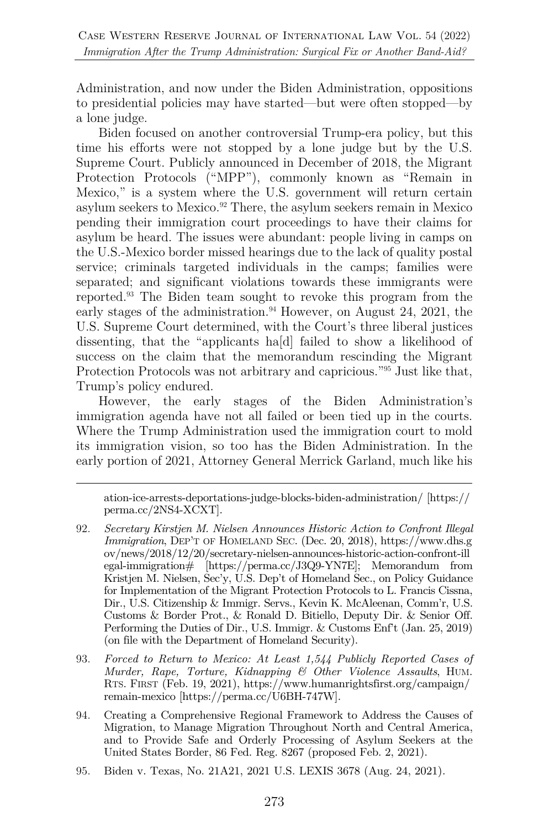Administration, and now under the Biden Administration, oppositions to presidential policies may have started—but were often stopped—by a lone judge.

Biden focused on another controversial Trump-era policy, but this time his efforts were not stopped by a lone judge but by the U.S. Supreme Court. Publicly announced in December of 2018, the Migrant Protection Protocols ("MPP"), commonly known as "Remain in Mexico," is a system where the U.S. government will return certain asylum seekers to Mexico.<sup>92</sup> There, the asylum seekers remain in Mexico pending their immigration court proceedings to have their claims for asylum be heard. The issues were abundant: people living in camps on the U.S.-Mexico border missed hearings due to the lack of quality postal service; criminals targeted individuals in the camps; families were separated; and significant violations towards these immigrants were reported.93 The Biden team sought to revoke this program from the early stages of the administration. <sup>94</sup> However, on August 24, 2021, the U.S. Supreme Court determined, with the Court's three liberal justices dissenting, that the "applicants ha[d] failed to show a likelihood of success on the claim that the memorandum rescinding the Migrant Protection Protocols was not arbitrary and capricious."95 Just like that, Trump's policy endured.

However, the early stages of the Biden Administration's immigration agenda have not all failed or been tied up in the courts. Where the Trump Administration used the immigration court to mold its immigration vision, so too has the Biden Administration. In the early portion of 2021, Attorney General Merrick Garland, much like his

ation-ice-arrests-deportations-judge-blocks-biden-administration/ [https:// perma.cc/2NS4-XCXT].

- 92. *Secretary Kirstjen M. Nielsen Announces Historic Action to Confront Illegal Immigration*, DEP'T OF HOMELAND SEC. (Dec. 20, 2018), https://www.dhs.g ov/news/2018/12/20/secretary-nielsen-announces-historic-action-confront-ill egal-immigration# [https://perma.cc/J3Q9-YN7E]; Memorandum from Kristjen M. Nielsen, Sec'y, U.S. Dep't of Homeland Sec., on Policy Guidance for Implementation of the Migrant Protection Protocols to L. Francis Cissna, Dir., U.S. Citizenship & Immigr. Servs., Kevin K. McAleenan, Comm'r, U.S. Customs & Border Prot., & Ronald D. Bitiello, Deputy Dir. & Senior Off. Performing the Duties of Dir., U.S. Immigr. & Customs Enf't (Jan. 25, 2019) (on file with the Department of Homeland Security).
- 93. *Forced to Return to Mexico: At Least 1,544 Publicly Reported Cases of Murder, Rape, Torture, Kidnapping & Other Violence Assaults*, HUM. RTS. FIRST (Feb. 19, 2021), https://www.humanrightsfirst.org/campaign/ remain-mexico [https://perma.cc/U6BH-747W].
- 94. Creating a Comprehensive Regional Framework to Address the Causes of Migration, to Manage Migration Throughout North and Central America, and to Provide Safe and Orderly Processing of Asylum Seekers at the United States Border, 86 Fed. Reg. 8267 (proposed Feb. 2, 2021).
- 95. Biden v. Texas, No. 21A21, 2021 U.S. LEXIS 3678 (Aug. 24, 2021).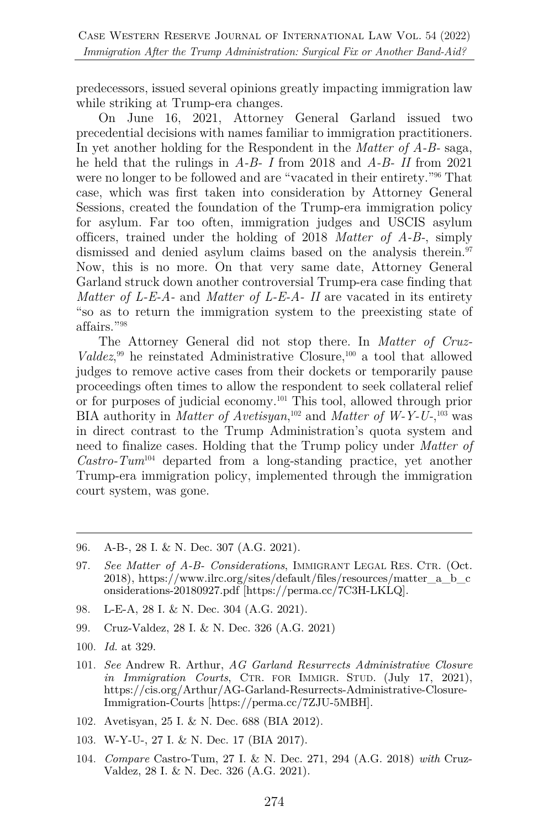predecessors, issued several opinions greatly impacting immigration law while striking at Trump-era changes.

On June 16, 2021, Attorney General Garland issued two precedential decisions with names familiar to immigration practitioners. In yet another holding for the Respondent in the *Matter of A-B-* saga, he held that the rulings in *A-B- I* from 2018 and *A-B- II* from 2021 were no longer to be followed and are "vacated in their entirety."<sup>96</sup> That case, which was first taken into consideration by Attorney General Sessions, created the foundation of the Trump-era immigration policy for asylum. Far too often, immigration judges and USCIS asylum officers, trained under the holding of 2018 *Matter of A-B-*, simply dismissed and denied asylum claims based on the analysis therein.<sup>97</sup> Now, this is no more. On that very same date, Attorney General Garland struck down another controversial Trump-era case finding that *Matter of L-E-A-* and *Matter of L-E-A- II* are vacated in its entirety "so as to return the immigration system to the preexisting state of affairs."98

The Attorney General did not stop there. In *Matter of Cruz-Valdez*<sup>99</sup> he reinstated Administrative Closure,<sup>100</sup> a tool that allowed judges to remove active cases from their dockets or temporarily pause proceedings often times to allow the respondent to seek collateral relief or for purposes of judicial economy.101 This tool, allowed through prior BIA authority in *Matter of Avetisyan*, <sup>102</sup> and *Matter of W-Y-U-*, <sup>103</sup> was in direct contrast to the Trump Administration's quota system and need to finalize cases. Holding that the Trump policy under *Matter of Castro-Tum*<sup>104</sup> departed from a long-standing practice, yet another Trump-era immigration policy, implemented through the immigration court system, was gone.

- 98. L-E-A, 28 I. & N. Dec. 304 (A.G. 2021).
- 99. Cruz-Valdez, 28 I. & N. Dec. 326 (A.G. 2021)
- 100. *Id.* at 329.
- 101. *See* Andrew R. Arthur, *AG Garland Resurrects Administrative Closure in Immigration Courts*, CTR. FOR IMMIGR. STUD. (July 17, 2021), https://cis.org/Arthur/AG-Garland-Resurrects-Administrative-Closure-Immigration-Courts [https://perma.cc/7ZJU-5MBH].
- 102. Avetisyan, 25 I. & N. Dec. 688 (BIA 2012).
- 103. W-Y-U-, 27 I. & N. Dec. 17 (BIA 2017).
- 104. *Compare* Castro-Tum, 27 I. & N. Dec. 271, 294 (A.G. 2018) *with* Cruz-Valdez, 28 I. & N. Dec. 326 (A.G. 2021).

<sup>96.</sup> A-B-, 28 I. & N. Dec. 307 (A.G. 2021).

<sup>97.</sup> *See Matter of A-B- Considerations*, IMMIGRANT LEGAL RES. CTR. (Oct. 2018), https://www.ilrc.org/sites/default/files/resources/matter\_a\_b\_c onsiderations-20180927.pdf [https://perma.cc/7C3H-LKLQ].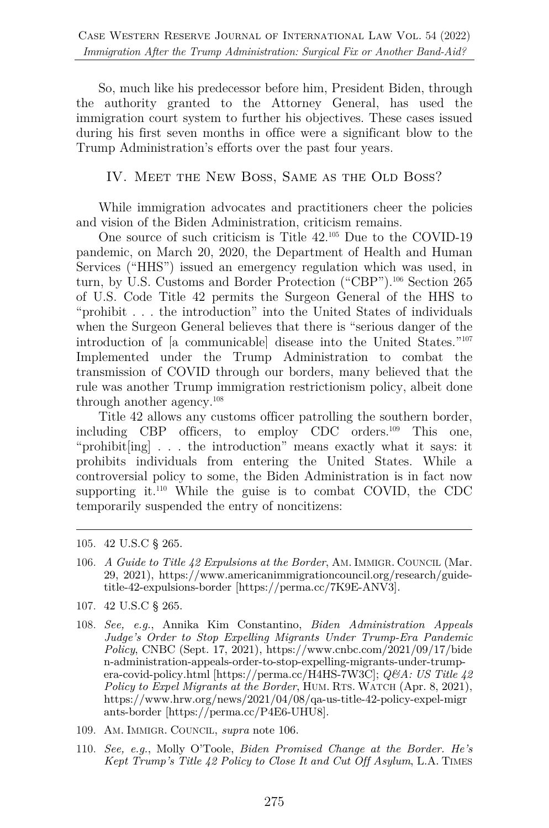So, much like his predecessor before him, President Biden, through the authority granted to the Attorney General, has used the immigration court system to further his objectives. These cases issued during his first seven months in office were a significant blow to the Trump Administration's efforts over the past four years.

IV. Meet the New Boss, Same as the Old Boss?

While immigration advocates and practitioners cheer the policies and vision of the Biden Administration, criticism remains.

One source of such criticism is Title 42.105 Due to the COVID-19 pandemic, on March 20, 2020, the Department of Health and Human Services ("HHS") issued an emergency regulation which was used, in turn, by U.S. Customs and Border Protection ("CBP").<sup>106</sup> Section 265 of U.S. Code Title 42 permits the Surgeon General of the HHS to "prohibit . . . the introduction" into the United States of individuals when the Surgeon General believes that there is "serious danger of the introduction of [a communicable] disease into the United States."107 Implemented under the Trump Administration to combat the transmission of COVID through our borders, many believed that the rule was another Trump immigration restrictionism policy, albeit done through another agency.108

Title 42 allows any customs officer patrolling the southern border, including CBP officers, to employ CDC orders.109 This one, "prohibit[ing] . . . the introduction" means exactly what it says: it prohibits individuals from entering the United States. While a controversial policy to some, the Biden Administration is in fact now supporting it. $110$  While the guise is to combat COVID, the CDC temporarily suspended the entry of noncitizens:

- 106. *A Guide to Title 42 Expulsions at the Border*, AM. IMMIGR. COUNCIL (Mar. 29, 2021), https://www.americanimmigrationcouncil.org/research/guidetitle-42-expulsions-border [https://perma.cc/7K9E-ANV3].
- 107. 42 U.S.C § 265.
- 108. *See, e.g.*, Annika Kim Constantino, *Biden Administration Appeals Judge's Order to Stop Expelling Migrants Under Trump-Era Pandemic Policy*, CNBC (Sept. 17, 2021), https://www.cnbc.com/2021/09/17/bide n-administration-appeals-order-to-stop-expelling-migrants-under-trumpera-covid-policy.html [https://perma.cc/H4HS-7W3C]; *Q&A: US Title 42 Policy to Expel Migrants at the Border*, HUM. RTS. WATCH (Apr. 8, 2021), https://www.hrw.org/news/2021/04/08/qa-us-title-42-policy-expel-migr ants-border [https://perma.cc/P4E6-UHU8].
- 109. AM. IMMIGR. COUNCIL, *supra* note 106.
- 110. *See, e.g.*, Molly O'Toole, *Biden Promised Change at the Border. He's Kept Trump's Title 42 Policy to Close It and Cut Off Asylum*, L.A. TIMES

<sup>105.</sup> 42 U.S.C § 265.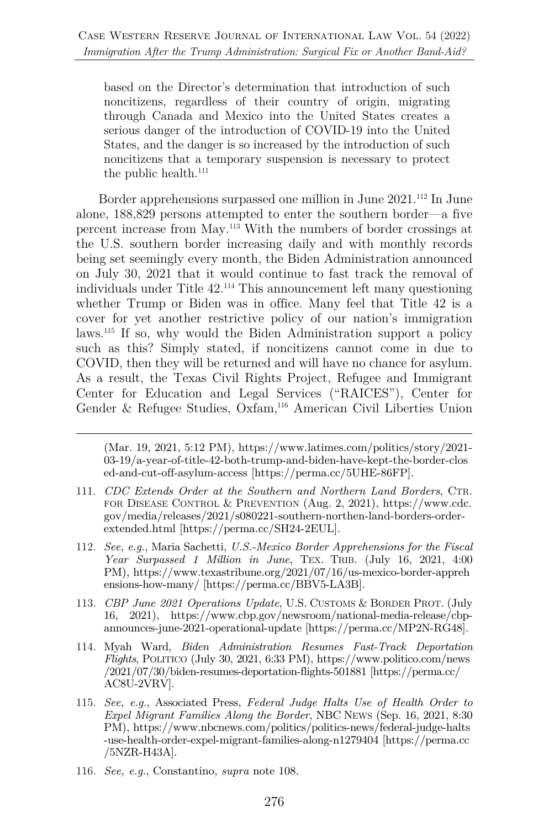based on the Director's determination that introduction of such noncitizens, regardless of their country of origin, migrating through Canada and Mexico into the United States creates a serious danger of the introduction of COVID-19 into the United States, and the danger is so increased by the introduction of such noncitizens that a temporary suspension is necessary to protect the public health.<sup>111</sup>

Border apprehensions surpassed one million in June 2021.<sup>112</sup> In June alone, 188,829 persons attempted to enter the southern border—a five percent increase from May.113 With the numbers of border crossings at the U.S. southern border increasing daily and with monthly records being set seemingly every month, the Biden Administration announced on July 30, 2021 that it would continue to fast track the removal of individuals under Title 42.114 This announcement left many questioning whether Trump or Biden was in office. Many feel that Title 42 is a cover for yet another restrictive policy of our nation's immigration laws.115 If so, why would the Biden Administration support a policy such as this? Simply stated, if noncitizens cannot come in due to COVID, then they will be returned and will have no chance for asylum. As a result, the Texas Civil Rights Project, Refugee and Immigrant Center for Education and Legal Services ("RAICES"), Center for Gender & Refugee Studies, Oxfam,116 American Civil Liberties Union

(Mar. 19, 2021, 5:12 PM), https://www.latimes.com/politics/story/2021- 03-19/a-year-of-title-42-both-trump-and-biden-have-kept-the-border-clos ed-and-cut-off-asylum-access [https://perma.cc/5UHE-86FP].

- 111. *CDC Extends Order at the Southern and Northern Land Borders*, CTR. FOR DISEASE CONTROL & PREVENTION (Aug. 2, 2021), https://www.cdc. gov/media/releases/2021/s080221-southern-northen-land-borders-orderextended.html [https://perma.cc/SH24-2EUL].
- 112. *See, e.g.*, Maria Sachetti, *U.S.-Mexico Border Apprehensions for the Fiscal Year Surpassed 1 Million in June*, TEX. TRIB. (July 16, 2021, 4:00 PM), https://www.texastribune.org/2021/07/16/us-mexico-border-appreh ensions-how-many/ [https://perma.cc/BBV5-LA3B].
- 113. *CBP June 2021 Operations Update*, U.S. CUSTOMS & BORDER PROT. (July 16, 2021), https://www.cbp.gov/newsroom/national-media-release/cbpannounces-june-2021-operational-update [https://perma.cc/MP2N-RG48].
- 114. Myah Ward, *Biden Administration Resumes Fast-Track Deportation Flights*, POLITICO (July 30, 2021, 6:33 PM), https://www.politico.com/news /2021/07/30/biden-resumes-deportation-flights-501881 [https://perma.cc/ AC8U-2VRV].
- 115. *See, e.g.*, Associated Press, *Federal Judge Halts Use of Health Order to Expel Migrant Families Along the Border*, NBC NEWS (Sep. 16, 2021, 8:30 PM), https://www.nbcnews.com/politics/politics-news/federal-judge-halts -use-health-order-expel-migrant-families-along-n1279404 [https://perma.cc /5NZR-H43A].
- 116. *See, e.g*., Constantino, *supra* note 108.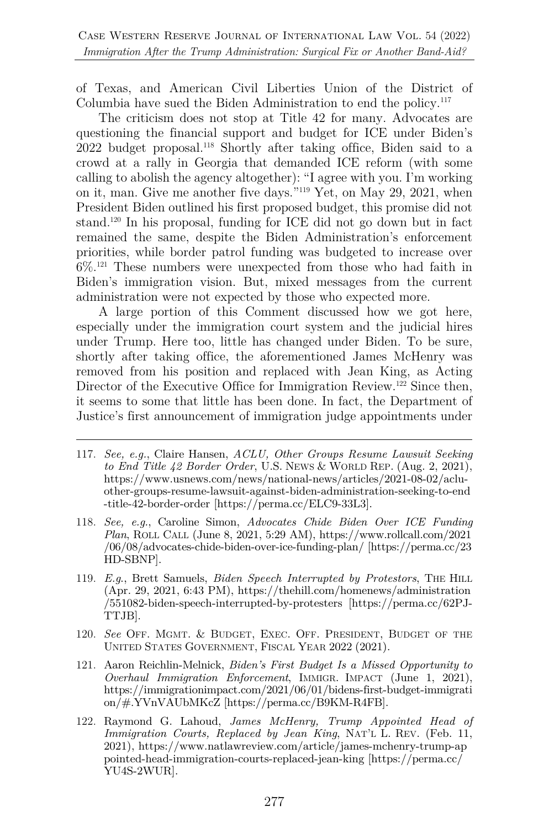of Texas, and American Civil Liberties Union of the District of Columbia have sued the Biden Administration to end the policy.117

The criticism does not stop at Title 42 for many. Advocates are questioning the financial support and budget for ICE under Biden's 2022 budget proposal.118 Shortly after taking office, Biden said to a crowd at a rally in Georgia that demanded ICE reform (with some calling to abolish the agency altogether): "I agree with you. I'm working on it, man. Give me another five days."119 Yet, on May 29, 2021, when President Biden outlined his first proposed budget, this promise did not stand. <sup>120</sup> In his proposal, funding for ICE did not go down but in fact remained the same, despite the Biden Administration's enforcement priorities, while border patrol funding was budgeted to increase over  $6\%$ <sup>121</sup> These numbers were unexpected from those who had faith in Biden's immigration vision. But, mixed messages from the current administration were not expected by those who expected more.

A large portion of this Comment discussed how we got here, especially under the immigration court system and the judicial hires under Trump. Here too, little has changed under Biden. To be sure, shortly after taking office, the aforementioned James McHenry was removed from his position and replaced with Jean King, as Acting Director of the Executive Office for Immigration Review.<sup>122</sup> Since then, it seems to some that little has been done. In fact, the Department of Justice's first announcement of immigration judge appointments under

- 117. *See, e.g.*, Claire Hansen, *ACLU, Other Groups Resume Lawsuit Seeking to End Title 42 Border Order*, U.S. NEWS & WORLD REP. (Aug. 2, 2021), https://www.usnews.com/news/national-news/articles/2021-08-02/acluother-groups-resume-lawsuit-against-biden-administration-seeking-to-end -title-42-border-order [https://perma.cc/ELC9-33L3].
- 118. *See, e.g.*, Caroline Simon, *Advocates Chide Biden Over ICE Funding Plan*, ROLL CALL (June 8, 2021, 5:29 AM), https://www.rollcall.com/2021 /06/08/advocates-chide-biden-over-ice-funding-plan/ [https://perma.cc/23 HD-SBNP].
- 119. *E.g*., Brett Samuels, *Biden Speech Interrupted by Protestors*, THE HILL (Apr. 29, 2021, 6:43 PM), https://thehill.com/homenews/administration /551082-biden-speech-interrupted-by-protesters [https://perma.cc/62PJ-TTJB].
- 120. *See* OFF. MGMT. & BUDGET, EXEC. OFF. PRESIDENT, BUDGET OF THE UNITED STATES GOVERNMENT, FISCAL YEAR 2022 (2021).
- 121. Aaron Reichlin-Melnick, *Biden's First Budget Is a Missed Opportunity to Overhaul Immigration Enforcement*, IMMIGR. IMPACT (June 1, 2021), https://immigrationimpact.com/2021/06/01/bidens-first-budget-immigrati on/#.YVnVAUbMKcZ [https://perma.cc/B9KM-R4FB].
- 122. Raymond G. Lahoud, *James McHenry, Trump Appointed Head of Immigration Courts, Replaced by Jean King*, NAT'L L. REV. (Feb. 11, 2021), https://www.natlawreview.com/article/james-mchenry-trump-ap pointed-head-immigration-courts-replaced-jean-king [https://perma.cc/ YU4S-2WUR].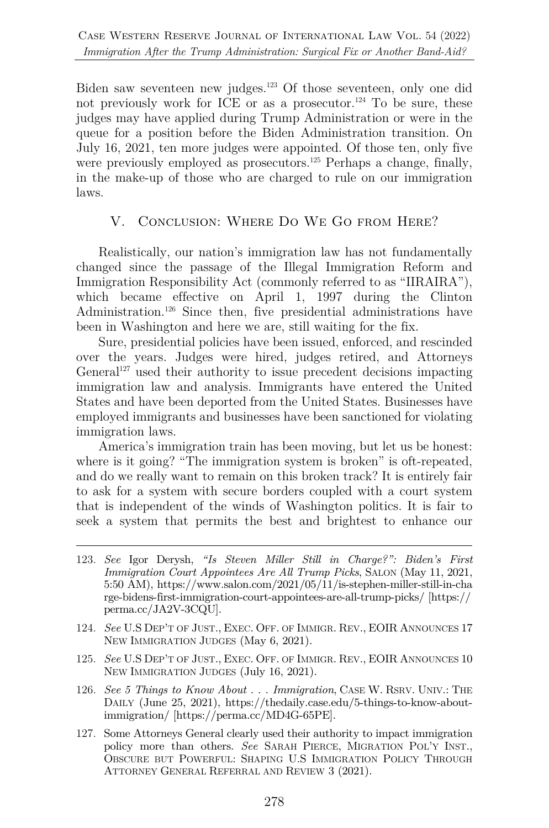Biden saw seventeen new judges.123 Of those seventeen, only one did not previously work for ICE or as a prosecutor.<sup>124</sup> To be sure, these judges may have applied during Trump Administration or were in the queue for a position before the Biden Administration transition. On July 16, 2021, ten more judges were appointed. Of those ten, only five were previously employed as prosecutors.<sup>125</sup> Perhaps a change, finally, in the make-up of those who are charged to rule on our immigration laws.

#### V. Conclusion: Where Do We Go from Here?

Realistically, our nation's immigration law has not fundamentally changed since the passage of the Illegal Immigration Reform and Immigration Responsibility Act (commonly referred to as "IIRAIRA"), which became effective on April 1, 1997 during the Clinton Administration.<sup>126</sup> Since then, five presidential administrations have been in Washington and here we are, still waiting for the fix.

Sure, presidential policies have been issued, enforced, and rescinded over the years. Judges were hired, judges retired, and Attorneys General<sup>127</sup> used their authority to issue precedent decisions impacting immigration law and analysis. Immigrants have entered the United States and have been deported from the United States. Businesses have employed immigrants and businesses have been sanctioned for violating immigration laws.

America's immigration train has been moving, but let us be honest: where is it going? "The immigration system is broken" is oft-repeated, and do we really want to remain on this broken track? It is entirely fair to ask for a system with secure borders coupled with a court system that is independent of the winds of Washington politics. It is fair to seek a system that permits the best and brightest to enhance our

- 124. *See* U.S DEP'T OF JUST., EXEC. OFF. OF IMMIGR. REV., EOIR ANNOUNCES 17 NEW IMMIGRATION JUDGES (May 6, 2021).
- 125. *See* U.S DEP'T OF JUST., EXEC. OFF. OF IMMIGR. REV., EOIR ANNOUNCES 10 NEW IMMIGRATION JUDGES (July 16, 2021).
- 126. *See 5 Things to Know About . . . Immigration*, CASE W. RSRV. UNIV.: THE DAILY (June 25, 2021), https://thedaily.case.edu/5-things-to-know-aboutimmigration/ [https://perma.cc/MD4G-65PE].
- 127. Some Attorneys General clearly used their authority to impact immigration policy more than others. *See* SARAH PIERCE, MIGRATION POL'Y INST., OBSCURE BUT POWERFUL: SHAPING U.S IMMIGRATION POLICY THROUGH ATTORNEY GENERAL REFERRAL AND REVIEW 3 (2021).

<sup>123.</sup> *See* Igor Derysh, *"Is Steven Miller Still in Charge?": Biden's First Immigration Court Appointees Are All Trump Picks*, SALON (May 11, 2021, 5:50 AM), https://www.salon.com/2021/05/11/is-stephen-miller-still-in-cha rge-bidens-first-immigration-court-appointees-are-all-trump-picks/ [https:// perma.cc/JA2V-3CQU].